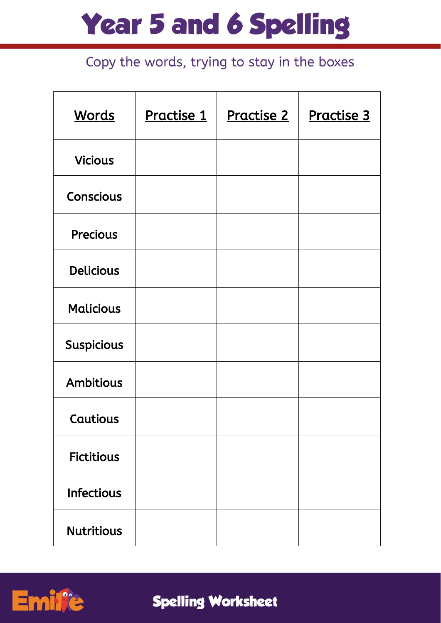| <b>Words</b>      | Practise 1 | <u>Practise 2</u> | Practise 3 |
|-------------------|------------|-------------------|------------|
| <b>Vicious</b>    |            |                   |            |
| <b>Conscious</b>  |            |                   |            |
| <b>Precious</b>   |            |                   |            |
| <b>Delicious</b>  |            |                   |            |
| <b>Malicious</b>  |            |                   |            |
| <b>Suspicious</b> |            |                   |            |
| <b>Ambitious</b>  |            |                   |            |
| Cautious          |            |                   |            |
| <b>Fictitious</b> |            |                   |            |
| <b>Infectious</b> |            |                   |            |
| <b>Nutritious</b> |            |                   |            |

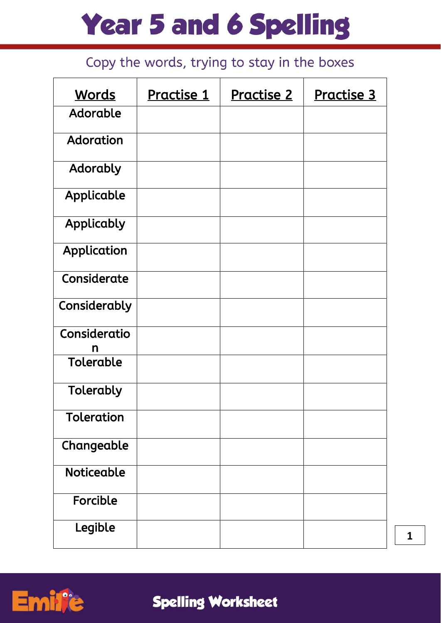| <b>Words</b>      | Practise 1 | Practise 2 | Practise 3 |
|-------------------|------------|------------|------------|
| <b>Adorable</b>   |            |            |            |
| Adoration         |            |            |            |
| Adorably          |            |            |            |
| Applicable        |            |            |            |
| Applicably        |            |            |            |
| Application       |            |            |            |
| Considerate       |            |            |            |
| Considerably      |            |            |            |
| Consideratio<br>n |            |            |            |
| <b>Tolerable</b>  |            |            |            |
| Tolerably         |            |            |            |
| <b>Toleration</b> |            |            |            |
| Changeable        |            |            |            |
| <b>Noticeable</b> |            |            |            |
| Forcible          |            |            |            |
| Legible           |            |            |            |

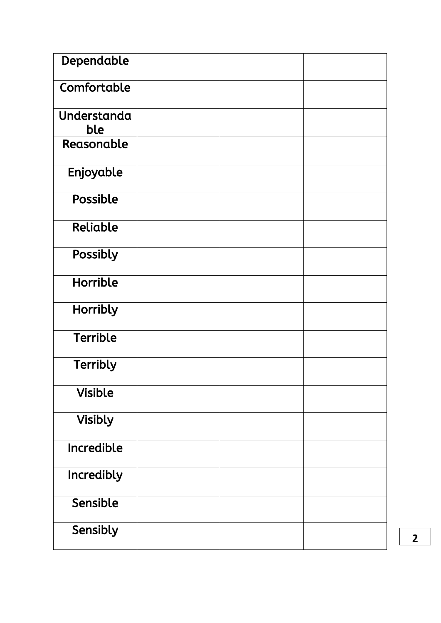| Dependable         |  |  |
|--------------------|--|--|
| Comfortable        |  |  |
| Understanda<br>ble |  |  |
| Reasonable         |  |  |
| Enjoyable          |  |  |
| Possible           |  |  |
| Reliable           |  |  |
| Possibly           |  |  |
| <b>Horrible</b>    |  |  |
| Horribly           |  |  |
| <b>Terrible</b>    |  |  |
| <b>Terribly</b>    |  |  |
| <b>Visible</b>     |  |  |
| <b>Visibly</b>     |  |  |
| Incredible         |  |  |
| Incredibly         |  |  |
| Sensible           |  |  |
| Sensibly           |  |  |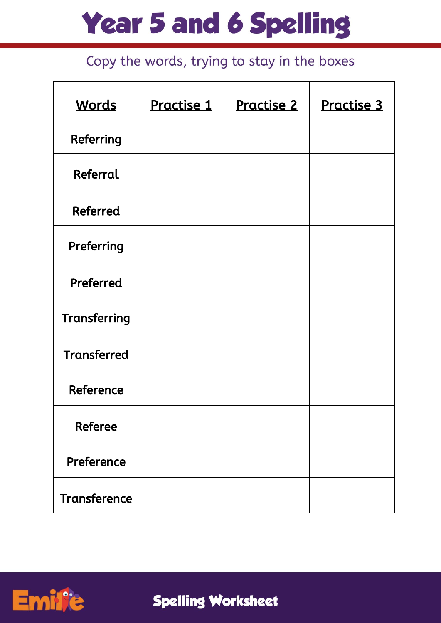| <b>Words</b>        | Practise 1 | <u>Practise 2</u> | Practise 3 |
|---------------------|------------|-------------------|------------|
| Referring           |            |                   |            |
| Referral            |            |                   |            |
| <b>Referred</b>     |            |                   |            |
| Preferring          |            |                   |            |
| Preferred           |            |                   |            |
| Transferring        |            |                   |            |
| <b>Transferred</b>  |            |                   |            |
| Reference           |            |                   |            |
| <b>Referee</b>      |            |                   |            |
| Preference          |            |                   |            |
| <b>Transference</b> |            |                   |            |

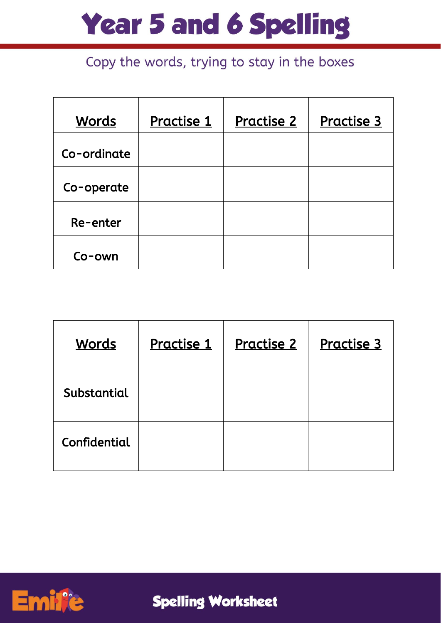### Copy the words, trying to stay in the boxes

| <b>Words</b> | <u>Practise 1</u> | <u>Practise 2</u> | <b>Practise 3</b> |
|--------------|-------------------|-------------------|-------------------|
| Co-ordinate  |                   |                   |                   |
| Co-operate   |                   |                   |                   |
| Re-enter     |                   |                   |                   |
| $Co$ -own    |                   |                   |                   |

| <u>Words</u> | <b>Practise 1</b> | <b>Practise 2</b> | <b>Practise 3</b> |
|--------------|-------------------|-------------------|-------------------|
| Substantial  |                   |                   |                   |
| Confidential |                   |                   |                   |



**Spelling Worksheet**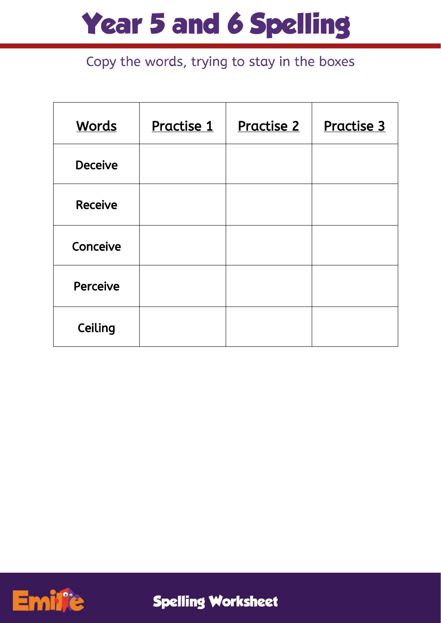| <b>Words</b>   | <u>Practise 1</u> | <u>Practise 2</u> | Practise 3 |
|----------------|-------------------|-------------------|------------|
| <b>Deceive</b> |                   |                   |            |
| <b>Receive</b> |                   |                   |            |
| Conceive       |                   |                   |            |
| Perceive       |                   |                   |            |
| Ceiling        |                   |                   |            |

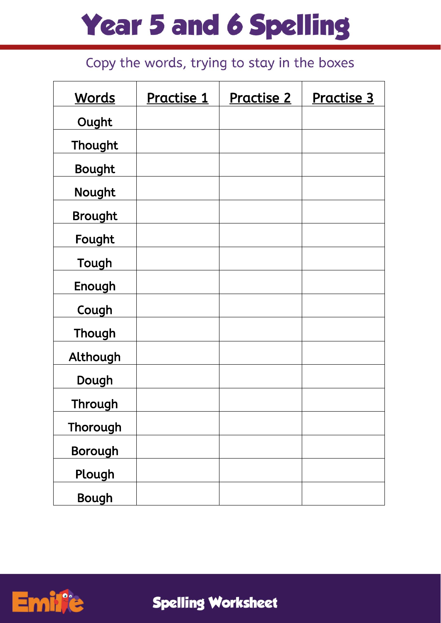### Copy the words, trying to stay in the boxes

| <b>Words</b>   | Practise 1 | <b>Practise 2</b> | Practise 3 |
|----------------|------------|-------------------|------------|
| Ought          |            |                   |            |
| Thought        |            |                   |            |
| <b>Bought</b>  |            |                   |            |
| Nought         |            |                   |            |
| <b>Brought</b> |            |                   |            |
| Fought         |            |                   |            |
| Tough          |            |                   |            |
| Enough         |            |                   |            |
| Cough          |            |                   |            |
| Though         |            |                   |            |
| Although       |            |                   |            |
| Dough          |            |                   |            |
| Through        |            |                   |            |
| Thorough       |            |                   |            |
| Borough        |            |                   |            |
| Plough         |            |                   |            |
| <b>Bough</b>   |            |                   |            |



**Spelling Worksheet**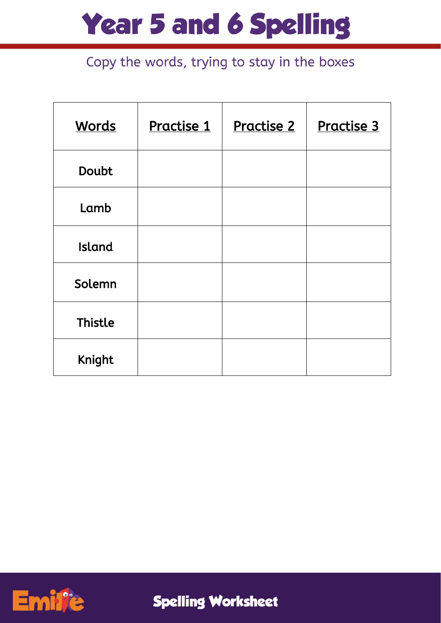### Copy the words, trying to stay in the boxes

| <b>Words</b>   | Practise 1 | <u>Practise 2</u> | Practise 3 |
|----------------|------------|-------------------|------------|
| <b>Doubt</b>   |            |                   |            |
| Lamb           |            |                   |            |
| <b>Island</b>  |            |                   |            |
| Solemn         |            |                   |            |
| <b>Thistle</b> |            |                   |            |
| <b>Knight</b>  |            |                   |            |



**Spelling Worksheet**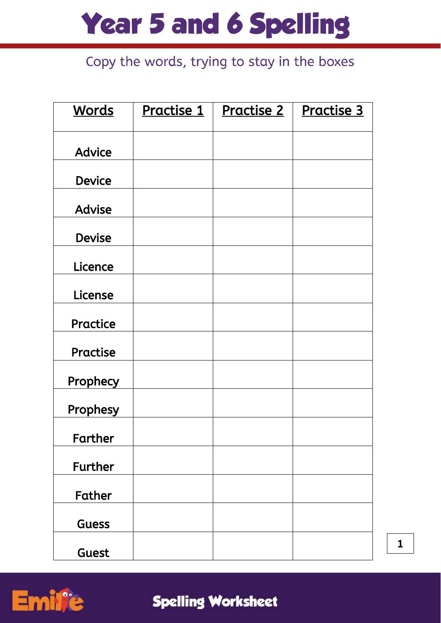## Copy the words, trying to stay in the boxes

| <b>Words</b>   | <u>Practise 1</u> | <u>Practise 2</u> | <b>Practise 3</b> |
|----------------|-------------------|-------------------|-------------------|
|                |                   |                   |                   |
| <b>Advice</b>  |                   |                   |                   |
| <b>Device</b>  |                   |                   |                   |
| <b>Advise</b>  |                   |                   |                   |
| <b>Devise</b>  |                   |                   |                   |
| Licence        |                   |                   |                   |
| License        |                   |                   |                   |
| Practice       |                   |                   |                   |
| Practise       |                   |                   |                   |
| Prophecy       |                   |                   |                   |
| Prophesy       |                   |                   |                   |
| Farther        |                   |                   |                   |
| <b>Further</b> |                   |                   |                   |
| Father         |                   |                   |                   |
| <b>Guess</b>   |                   |                   |                   |
| Guest          |                   |                   |                   |

Emi

 $\mathbf{1}$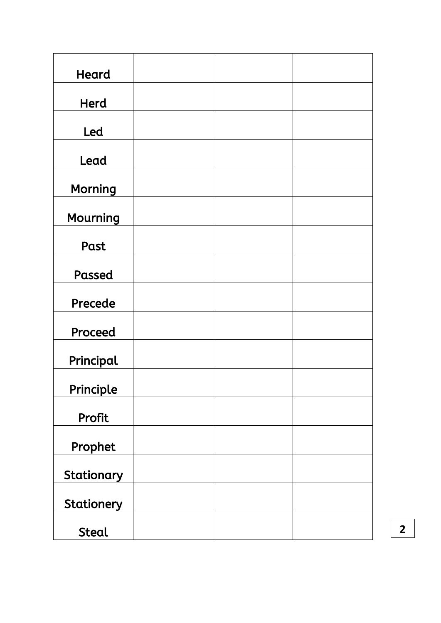| Heard           |  |  |
|-----------------|--|--|
| <b>Herd</b>     |  |  |
| Led             |  |  |
| Lead            |  |  |
| <b>Morning</b>  |  |  |
| <b>Mourning</b> |  |  |
| Past            |  |  |
| Passed          |  |  |
| Precede         |  |  |
| Proceed         |  |  |
| Principal       |  |  |
| Principle       |  |  |
| Profit          |  |  |
| Prophet         |  |  |
| Stationary      |  |  |
| Stationery      |  |  |
| <b>Steal</b>    |  |  |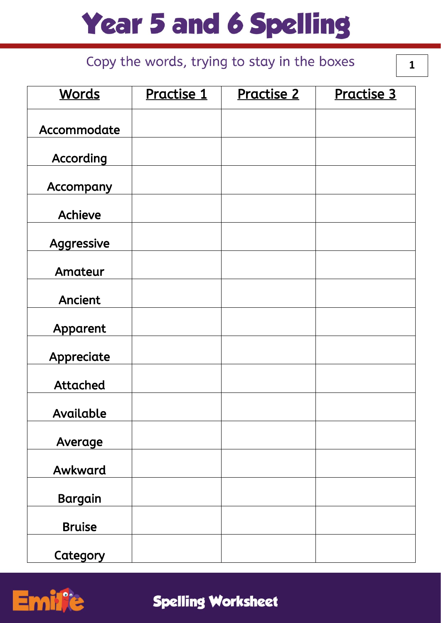### Copy the words, trying to stay in the boxes

 $\mathbf{1}$ 

| <b>Words</b>     | Practise 1 | Practise 2 | Practise 3 |
|------------------|------------|------------|------------|
| Accommodate      |            |            |            |
| According        |            |            |            |
| <b>Accompany</b> |            |            |            |
| <b>Achieve</b>   |            |            |            |
| Aggressive       |            |            |            |
| Amateur          |            |            |            |
| <b>Ancient</b>   |            |            |            |
| Apparent         |            |            |            |
| Appreciate       |            |            |            |
| <b>Attached</b>  |            |            |            |
| Available        |            |            |            |
| Average          |            |            |            |
| Awkward          |            |            |            |
| Bargain          |            |            |            |
| <b>Bruise</b>    |            |            |            |
| Category         |            |            |            |

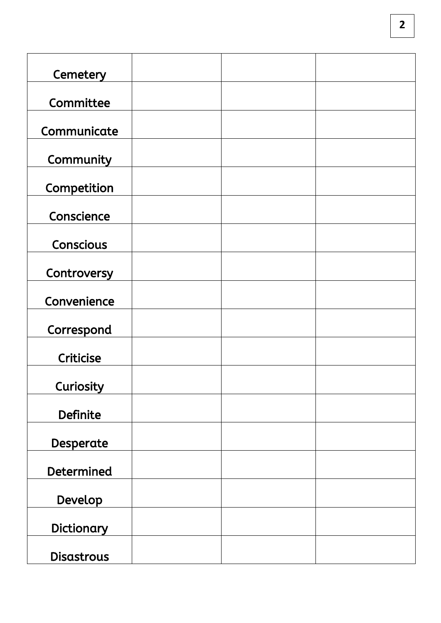| Cemetery          |  |  |
|-------------------|--|--|
| Committee         |  |  |
| Communicate       |  |  |
| Community         |  |  |
| Competition       |  |  |
| Conscience        |  |  |
| <b>Conscious</b>  |  |  |
| Controversy       |  |  |
| Convenience       |  |  |
| Correspond        |  |  |
| <b>Criticise</b>  |  |  |
| Curiosity         |  |  |
| <b>Definite</b>   |  |  |
| Desperate         |  |  |
| <b>Determined</b> |  |  |
| Develop           |  |  |
| Dictionary        |  |  |
| <b>Disastrous</b> |  |  |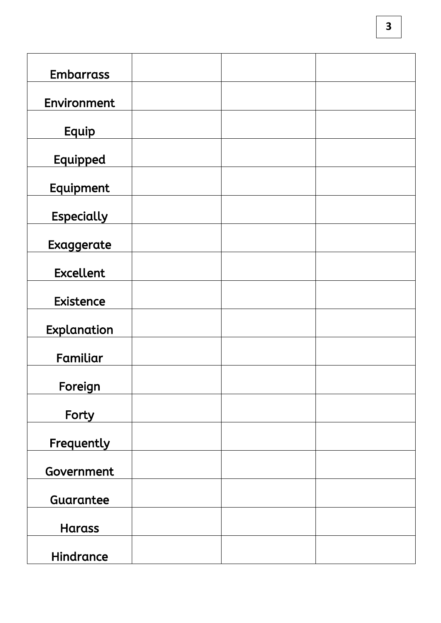| <b>Embarrass</b>  |  |  |
|-------------------|--|--|
|                   |  |  |
| Environment       |  |  |
| Equip             |  |  |
| Equipped          |  |  |
| Equipment         |  |  |
| <b>Especially</b> |  |  |
| Exaggerate        |  |  |
| <b>Excellent</b>  |  |  |
| <b>Existence</b>  |  |  |
| Explanation       |  |  |
| Familiar          |  |  |
| Foreign           |  |  |
| Forty             |  |  |
| Frequently        |  |  |
| Government        |  |  |
| Guarantee         |  |  |
| <b>Harass</b>     |  |  |
| Hindrance         |  |  |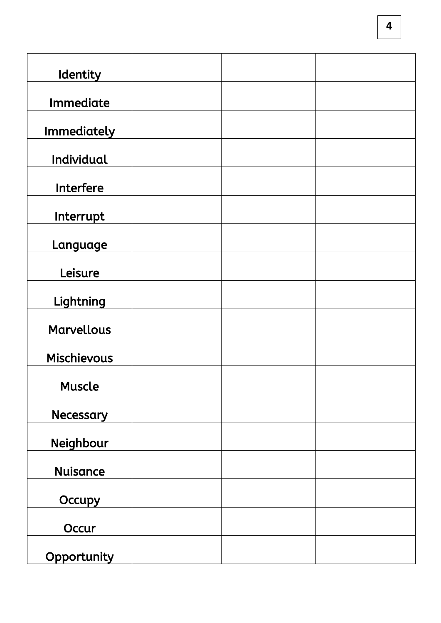| Identity           |  |  |
|--------------------|--|--|
| Immediate          |  |  |
| <b>Immediately</b> |  |  |
| Individual         |  |  |
| Interfere          |  |  |
| Interrupt          |  |  |
| Language           |  |  |
| Leisure            |  |  |
| Lightning          |  |  |
| <b>Marvellous</b>  |  |  |
| <b>Mischievous</b> |  |  |
| <b>Muscle</b>      |  |  |
| <b>Necessary</b>   |  |  |
| Neighbour          |  |  |
| <b>Nuisance</b>    |  |  |
| Occupy             |  |  |
| Occur              |  |  |
| Opportunity        |  |  |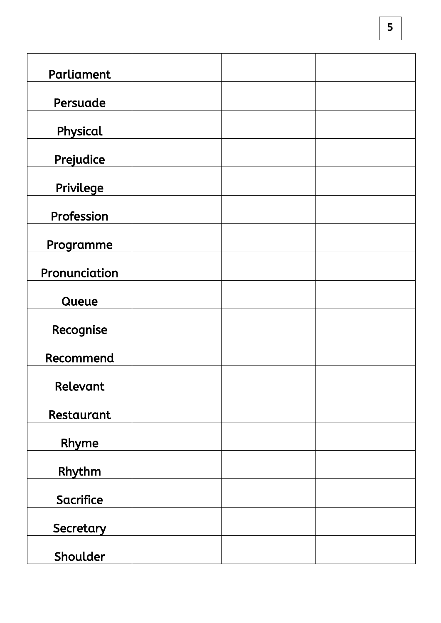| Parliament       |  |  |
|------------------|--|--|
| Persuade         |  |  |
| Physical         |  |  |
| Prejudice        |  |  |
| Privilege        |  |  |
| Profession       |  |  |
| Programme        |  |  |
| Pronunciation    |  |  |
| Queue            |  |  |
| Recognise        |  |  |
| Recommend        |  |  |
| Relevant         |  |  |
| Restaurant       |  |  |
| Rhyme            |  |  |
| Rhythm           |  |  |
| <b>Sacrifice</b> |  |  |
| Secretary        |  |  |
| Shoulder         |  |  |